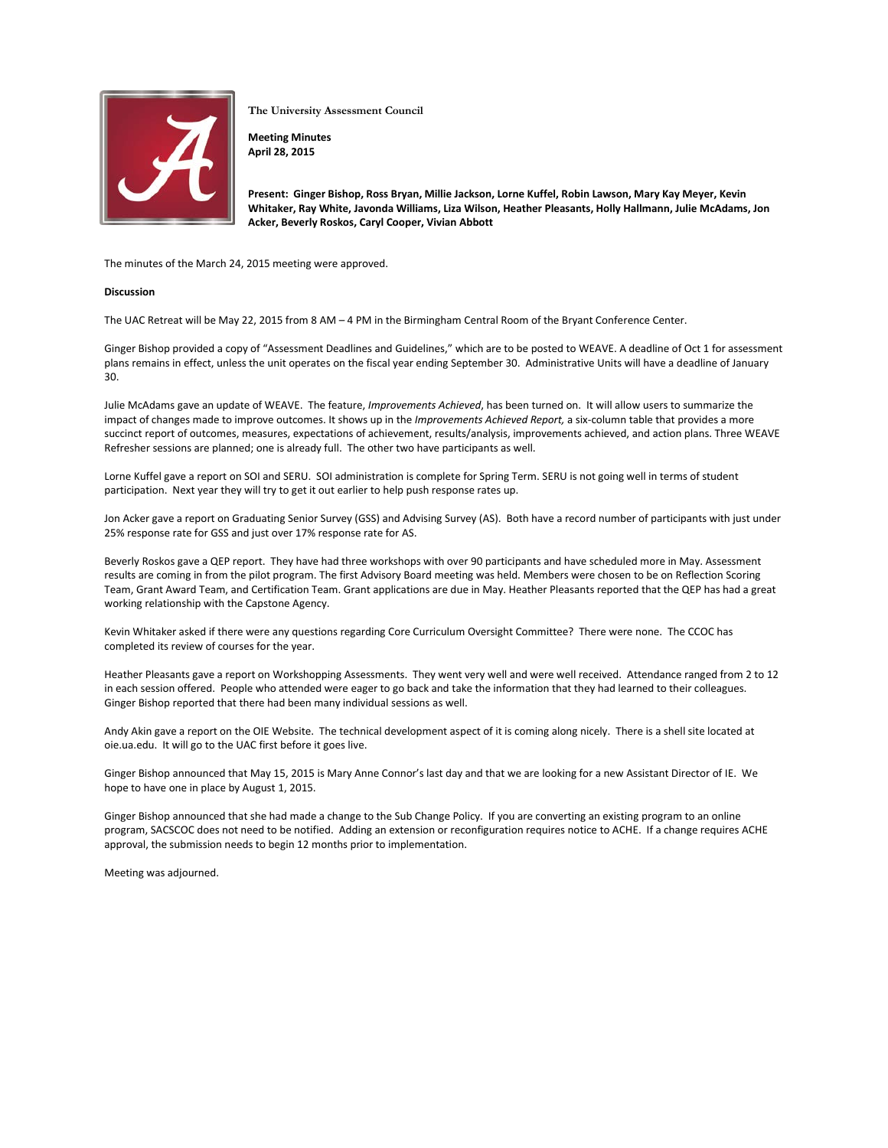

**The University Assessment Council**

**Meeting Minutes April 28, 2015**

**Present: Ginger Bishop, Ross Bryan, Millie Jackson, Lorne Kuffel, Robin Lawson, Mary Kay Meyer, Kevin Whitaker, Ray White, Javonda Williams, Liza Wilson, Heather Pleasants, Holly Hallmann, Julie McAdams, Jon Acker, Beverly Roskos, Caryl Cooper, Vivian Abbott**

The minutes of the March 24, 2015 meeting were approved.

## **Discussion**

The UAC Retreat will be May 22, 2015 from 8 AM – 4 PM in the Birmingham Central Room of the Bryant Conference Center.

Ginger Bishop provided a copy of "Assessment Deadlines and Guidelines," which are to be posted to WEAVE. A deadline of Oct 1 for assessment plans remains in effect, unless the unit operates on the fiscal year ending September 30. Administrative Units will have a deadline of January 30.

Julie McAdams gave an update of WEAVE. The feature, *Improvements Achieved*, has been turned on. It will allow users to summarize the impact of changes made to improve outcomes. It shows up in the *Improvements Achieved Report,* a six-column table that provides a more succinct report of outcomes, measures, expectations of achievement, results/analysis, improvements achieved, and action plans. Three WEAVE Refresher sessions are planned; one is already full. The other two have participants as well.

Lorne Kuffel gave a report on SOI and SERU. SOI administration is complete for Spring Term. SERU is not going well in terms of student participation. Next year they will try to get it out earlier to help push response rates up.

Jon Acker gave a report on Graduating Senior Survey (GSS) and Advising Survey (AS). Both have a record number of participants with just under 25% response rate for GSS and just over 17% response rate for AS.

Beverly Roskos gave a QEP report. They have had three workshops with over 90 participants and have scheduled more in May. Assessment results are coming in from the pilot program. The first Advisory Board meeting was held. Members were chosen to be on Reflection Scoring Team, Grant Award Team, and Certification Team. Grant applications are due in May. Heather Pleasants reported that the QEP has had a great working relationship with the Capstone Agency.

Kevin Whitaker asked if there were any questions regarding Core Curriculum Oversight Committee? There were none. The CCOC has completed its review of courses for the year.

Heather Pleasants gave a report on Workshopping Assessments. They went very well and were well received. Attendance ranged from 2 to 12 in each session offered. People who attended were eager to go back and take the information that they had learned to their colleagues. Ginger Bishop reported that there had been many individual sessions as well.

Andy Akin gave a report on the OIE Website. The technical development aspect of it is coming along nicely. There is a shell site located at oie.ua.edu. It will go to the UAC first before it goes live.

Ginger Bishop announced that May 15, 2015 is Mary Anne Connor's last day and that we are looking for a new Assistant Director of IE. We hope to have one in place by August 1, 2015.

Ginger Bishop announced that she had made a change to the Sub Change Policy. If you are converting an existing program to an online program, SACSCOC does not need to be notified. Adding an extension or reconfiguration requires notice to ACHE. If a change requires ACHE approval, the submission needs to begin 12 months prior to implementation.

Meeting was adjourned.